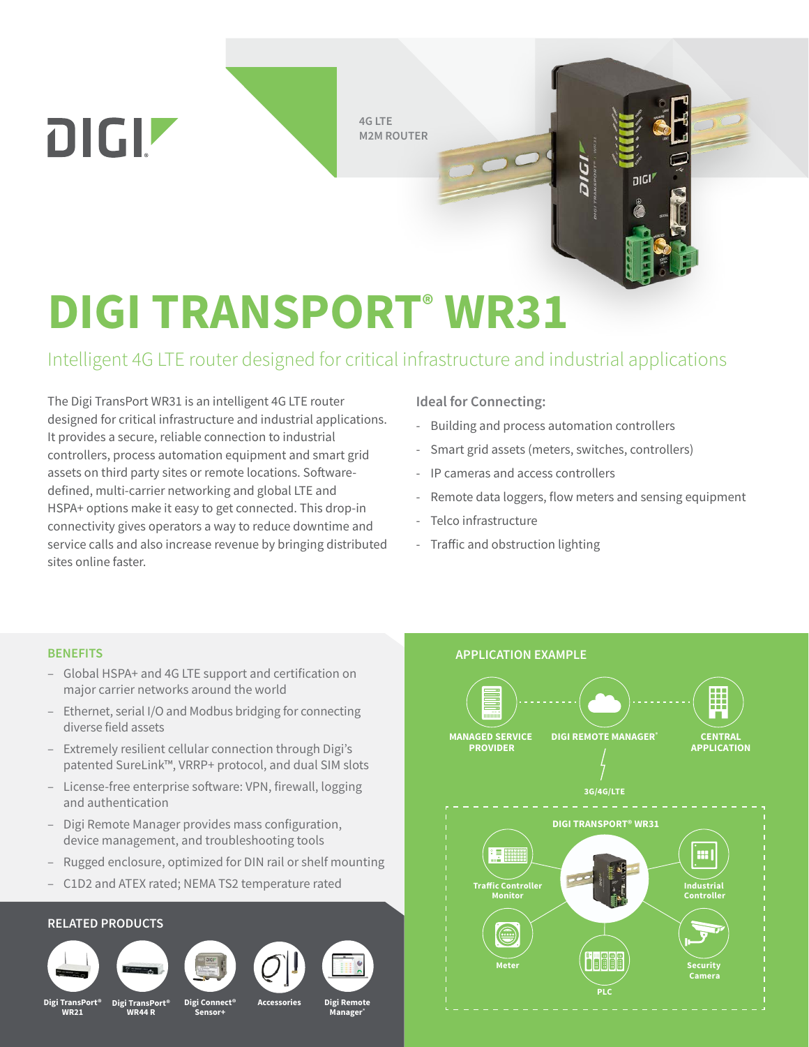**4G LTE M2M ROUTER** 

# **DIGI TRANSPORT® WR31**

# Intelligent 4G LTE router designed for critical infrastructure and industrial applications

The Digi TransPort WR31 is an intelligent 4G LTE router designed for critical infrastructure and industrial applications. It provides a secure, reliable connection to industrial controllers, process automation equipment and smart grid assets on third party sites or remote locations. Softwaredefined, multi-carrier networking and global LTE and HSPA+ options make it easy to get connected. This drop-in connectivity gives operators a way to reduce downtime and service calls and also increase revenue by bringing distributed sites online faster.

#### **Ideal for Connecting:**

- Building and process automation controllers
- Smart grid assets (meters, switches, controllers)
- IP cameras and access controllers
- Remote data loggers, flow meters and sensing equipment

nıcl

- Telco infrastructure
- Traffic and obstruction lighting

#### **BENEFITS**

DIGIZ

- Global HSPA+ and 4G LTE support and certification on major carrier networks around the world
- Ethernet, serial I/O and Modbus bridging for connecting diverse field assets
- Extremely resilient cellular connection through Digi's patented SureLink™, VRRP+ protocol, and dual SIM slots
- License-free enterprise software: VPN, firewall, logging and authentication
- Digi Remote Manager provides mass configuration, device management, and troubleshooting tools
- Rugged enclosure, optimized for DIN rail or shelf mounting
- C1D2 and ATEX rated; NEMA TS2 temperature rated

#### **RELATED PRODUCTS**













**Digi TransPort® Accessories WR21**

**Digi Tran WR44 R**

**Digi Connect**® **Sensor+**

**Digi Remote Manager®**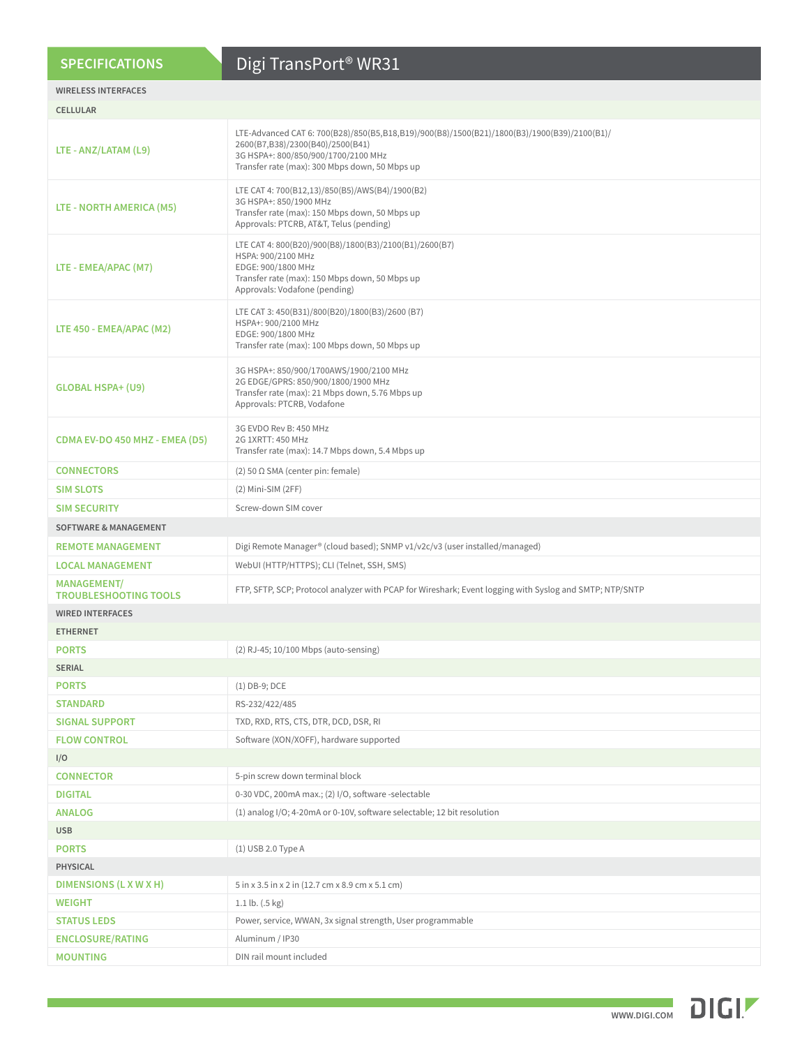#### **SPECIFICATIONS**

# Digi TransPort® WR31

#### **WIRELESS INTERFACES**

| <b>CELLULAR</b>                                    |                                                                                                                                                                                                                          |  |  |  |  |  |  |
|----------------------------------------------------|--------------------------------------------------------------------------------------------------------------------------------------------------------------------------------------------------------------------------|--|--|--|--|--|--|
| LTE - ANZ/LATAM (L9)                               | LTE-Advanced CAT 6: 700(B28)/850(B5,B18,B19)/900(B8)/1500(B21)/1800(B3)/1900(B39)/2100(B1)/<br>2600(B7,B38)/2300(B40)/2500(B41)<br>3G HSPA+: 800/850/900/1700/2100 MHz<br>Transfer rate (max): 300 Mbps down, 50 Mbps up |  |  |  |  |  |  |
| LTE - NORTH AMERICA (M5)                           | LTE CAT 4: 700(B12,13)/850(B5)/AWS(B4)/1900(B2)<br>3G HSPA+: 850/1900 MHz<br>Transfer rate (max): 150 Mbps down, 50 Mbps up<br>Approvals: PTCRB, AT&T, Telus (pending)                                                   |  |  |  |  |  |  |
| LTE - EMEA/APAC (M7)                               | LTE CAT 4: 800(B20)/900(B8)/1800(B3)/2100(B1)/2600(B7)<br>HSPA: 900/2100 MHz<br>EDGE: 900/1800 MHz<br>Transfer rate (max): 150 Mbps down, 50 Mbps up<br>Approvals: Vodafone (pending)                                    |  |  |  |  |  |  |
| LTE 450 - EMEA/APAC (M2)                           | LTE CAT 3: 450(B31)/800(B20)/1800(B3)/2600 (B7)<br>HSPA+: 900/2100 MHz<br>EDGE: 900/1800 MHz<br>Transfer rate (max): 100 Mbps down, 50 Mbps up                                                                           |  |  |  |  |  |  |
| <b>GLOBAL HSPA+ (U9)</b>                           | 3G HSPA+: 850/900/1700AWS/1900/2100 MHz<br>2G EDGE/GPRS: 850/900/1800/1900 MHz<br>Transfer rate (max): 21 Mbps down, 5.76 Mbps up<br>Approvals: PTCRB, Vodafone                                                          |  |  |  |  |  |  |
| CDMA EV-DO 450 MHZ - EMEA (D5)                     | 3G EVDO Rev B: 450 MHz<br>2G 1XRTT: 450 MHz<br>Transfer rate (max): 14.7 Mbps down, 5.4 Mbps up                                                                                                                          |  |  |  |  |  |  |
| <b>CONNECTORS</b>                                  | (2) 50 $\Omega$ SMA (center pin: female)                                                                                                                                                                                 |  |  |  |  |  |  |
| <b>SIM SLOTS</b>                                   | (2) Mini-SIM (2FF)                                                                                                                                                                                                       |  |  |  |  |  |  |
| <b>SIM SECURITY</b>                                | Screw-down SIM cover                                                                                                                                                                                                     |  |  |  |  |  |  |
| <b>SOFTWARE &amp; MANAGEMENT</b>                   |                                                                                                                                                                                                                          |  |  |  |  |  |  |
| <b>REMOTE MANAGEMENT</b>                           | Digi Remote Manager® (cloud based); SNMP v1/v2c/v3 (user installed/managed)                                                                                                                                              |  |  |  |  |  |  |
| <b>LOCAL MANAGEMENT</b>                            | WebUI (HTTP/HTTPS); CLI (Telnet, SSH, SMS)                                                                                                                                                                               |  |  |  |  |  |  |
| <b>MANAGEMENT/</b><br><b>TROUBLESHOOTING TOOLS</b> | FTP, SFTP, SCP; Protocol analyzer with PCAP for Wireshark; Event logging with Syslog and SMTP; NTP/SNTP                                                                                                                  |  |  |  |  |  |  |
| <b>WIRED INTERFACES</b>                            |                                                                                                                                                                                                                          |  |  |  |  |  |  |
| <b>ETHERNET</b>                                    |                                                                                                                                                                                                                          |  |  |  |  |  |  |
| <b>PORTS</b>                                       | (2) RJ-45; 10/100 Mbps (auto-sensing)                                                                                                                                                                                    |  |  |  |  |  |  |
| <b>SERIAL</b>                                      |                                                                                                                                                                                                                          |  |  |  |  |  |  |
| <b>PORTS</b>                                       | $(1)$ DB-9; DCE                                                                                                                                                                                                          |  |  |  |  |  |  |
| <b>STANDARD</b>                                    | RS-232/422/485                                                                                                                                                                                                           |  |  |  |  |  |  |
| <b>SIGNAL SUPPORT</b>                              | TXD, RXD, RTS, CTS, DTR, DCD, DSR, RI                                                                                                                                                                                    |  |  |  |  |  |  |
| <b>FLOW CONTROL</b>                                | Software (XON/XOFF), hardware supported                                                                                                                                                                                  |  |  |  |  |  |  |
| I/O                                                |                                                                                                                                                                                                                          |  |  |  |  |  |  |
| <b>CONNECTOR</b>                                   | 5-pin screw down terminal block                                                                                                                                                                                          |  |  |  |  |  |  |
| <b>DIGITAL</b>                                     | 0-30 VDC, 200mA max.; (2) I/O, software -selectable                                                                                                                                                                      |  |  |  |  |  |  |
| <b>ANALOG</b>                                      | (1) analog I/O; 4-20mA or 0-10V, software selectable; 12 bit resolution                                                                                                                                                  |  |  |  |  |  |  |
| <b>USB</b>                                         |                                                                                                                                                                                                                          |  |  |  |  |  |  |
| <b>PORTS</b>                                       | (1) USB 2.0 Type A                                                                                                                                                                                                       |  |  |  |  |  |  |
| <b>PHYSICAL</b>                                    |                                                                                                                                                                                                                          |  |  |  |  |  |  |
| DIMENSIONS (L X W X H)                             | 5 in x 3.5 in x 2 in (12.7 cm x 8.9 cm x 5.1 cm)                                                                                                                                                                         |  |  |  |  |  |  |
| <b>WEIGHT</b>                                      | 1.1 lb. $(.5 \text{ kg})$                                                                                                                                                                                                |  |  |  |  |  |  |
| <b>STATUS LEDS</b>                                 | Power, service, WWAN, 3x signal strength, User programmable                                                                                                                                                              |  |  |  |  |  |  |
| <b>ENCLOSURE/RATING</b>                            | Aluminum / IP30                                                                                                                                                                                                          |  |  |  |  |  |  |
| <b>MOUNTING</b>                                    | DIN rail mount included                                                                                                                                                                                                  |  |  |  |  |  |  |

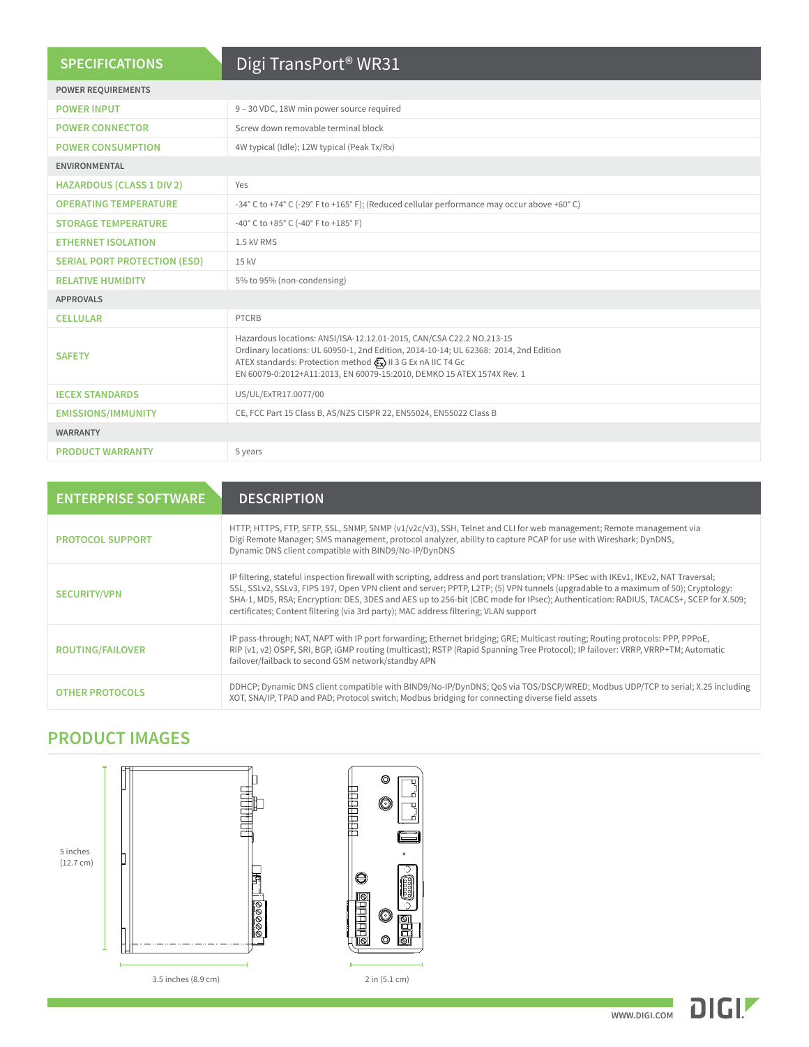| <b>SPECIFICATIONS</b>               | Digi TransPort <sup>®</sup> WR31                                                                                                                                                                                                                                                                        |  |  |  |  |  |  |
|-------------------------------------|---------------------------------------------------------------------------------------------------------------------------------------------------------------------------------------------------------------------------------------------------------------------------------------------------------|--|--|--|--|--|--|
| <b>POWER REQUIREMENTS</b>           |                                                                                                                                                                                                                                                                                                         |  |  |  |  |  |  |
| <b>POWER INPUT</b>                  | 9 - 30 VDC, 18W min power source required                                                                                                                                                                                                                                                               |  |  |  |  |  |  |
| <b>POWER CONNECTOR</b>              | Screw down removable terminal block                                                                                                                                                                                                                                                                     |  |  |  |  |  |  |
| <b>POWER CONSUMPTION</b>            | 4W typical (Idle); 12W typical (Peak Tx/Rx)                                                                                                                                                                                                                                                             |  |  |  |  |  |  |
| <b>ENVIRONMENTAL</b>                |                                                                                                                                                                                                                                                                                                         |  |  |  |  |  |  |
| <b>HAZARDOUS (CLASS 1 DIV 2)</b>    | Yes                                                                                                                                                                                                                                                                                                     |  |  |  |  |  |  |
| <b>OPERATING TEMPERATURE</b>        | -34° C to +74° C (-29° F to +165° F); (Reduced cellular performance may occur above +60° C)                                                                                                                                                                                                             |  |  |  |  |  |  |
| <b>STORAGE TEMPERATURE</b>          | -40° C to +85° C (-40° F to +185° F)                                                                                                                                                                                                                                                                    |  |  |  |  |  |  |
| <b>ETHERNET ISOLATION</b>           | 1.5 kV RMS                                                                                                                                                                                                                                                                                              |  |  |  |  |  |  |
| <b>SERIAL PORT PROTECTION (ESD)</b> | 15 kV                                                                                                                                                                                                                                                                                                   |  |  |  |  |  |  |
| <b>RELATIVE HUMIDITY</b>            | 5% to 95% (non-condensing)                                                                                                                                                                                                                                                                              |  |  |  |  |  |  |
| <b>APPROVALS</b>                    |                                                                                                                                                                                                                                                                                                         |  |  |  |  |  |  |
| <b>CELLULAR</b>                     | <b>PTCRB</b>                                                                                                                                                                                                                                                                                            |  |  |  |  |  |  |
| <b>SAFETY</b>                       | Hazardous locations: ANSI/ISA-12.12.01-2015, CAN/CSA C22.2 NO.213-15<br>Ordinary locations: UL 60950-1, 2nd Edition, 2014-10-14; UL 62368: 2014, 2nd Edition<br>ATEX standards: Protection method (Ex) II 3 G Ex nA IIC T4 Gc<br>EN 60079-0:2012+A11:2013, EN 60079-15:2010, DEMKO 15 ATEX 1574X Rev. 1 |  |  |  |  |  |  |
| <b>IECEX STANDARDS</b>              | US/UL/ExTR17.0077/00                                                                                                                                                                                                                                                                                    |  |  |  |  |  |  |
| <b>EMISSIONS/IMMUNITY</b>           | CE, FCC Part 15 Class B, AS/NZS CISPR 22, EN55024, EN55022 Class B                                                                                                                                                                                                                                      |  |  |  |  |  |  |
| <b>WARRANTY</b>                     |                                                                                                                                                                                                                                                                                                         |  |  |  |  |  |  |
| <b>PRODUCT WARRANTY</b>             | 5 years                                                                                                                                                                                                                                                                                                 |  |  |  |  |  |  |

| <b>ENTERPRISE SOFTWARE</b> | <b>DESCRIPTION</b>                                                                                                                                                                                                                                                                                                                                                                                                                                                                                        |
|----------------------------|-----------------------------------------------------------------------------------------------------------------------------------------------------------------------------------------------------------------------------------------------------------------------------------------------------------------------------------------------------------------------------------------------------------------------------------------------------------------------------------------------------------|
| <b>PROTOCOL SUPPORT</b>    | HTTP, HTTPS, FTP, SFTP, SSL, SNMP, SNMP (v1/v2c/v3), SSH, Telnet and CLI for web management; Remote management via<br>Digi Remote Manager; SMS management, protocol analyzer, ability to capture PCAP for use with Wireshark; DynDNS,<br>Dynamic DNS client compatible with BIND9/No-IP/DynDNS                                                                                                                                                                                                            |
| <b>SECURITY/VPN</b>        | IP filtering, stateful inspection firewall with scripting, address and port translation; VPN: IPSec with IKEv1, IKEv2, NAT Traversal;<br>SSL, SSLv2, SSLv3, FIPS 197, Open VPN client and server; PPTP, L2TP; (5) VPN tunnels (upgradable to a maximum of 50); Cryptology:<br>SHA-1, MD5, RSA; Encryption: DES, 3DES and AES up to 256-bit (CBC mode for IPsec); Authentication: RADIUS, TACACS+, SCEP for X.509;<br>certificates; Content filtering (via 3rd party); MAC address filtering; VLAN support |
| <b>ROUTING/FAILOVER</b>    | IP pass-through; NAT, NAPT with IP port forwarding; Ethernet bridging; GRE; Multicast routing; Routing protocols: PPP, PPPoE,<br>RIP (v1, v2) OSPF, SRI, BGP, iGMP routing (multicast); RSTP (Rapid Spanning Tree Protocol); IP failover: VRRP, VRRP+TM; Automatic<br>failover/failback to second GSM network/standby APN                                                                                                                                                                                 |
| <b>OTHER PROTOCOLS</b>     | DDHCP; Dynamic DNS client compatible with BIND9/No-IP/DynDNS; QoS via TOS/DSCP/WRED; Modbus UDP/TCP to serial; X.25 including<br>XOT, SNA/IP, TPAD and PAD; Protocol switch; Modbus bridging for connecting diverse field assets                                                                                                                                                                                                                                                                          |

## **PRODUCT IMAGES**







3.5 inches (8.9 cm)

2 in (5.1 cm)